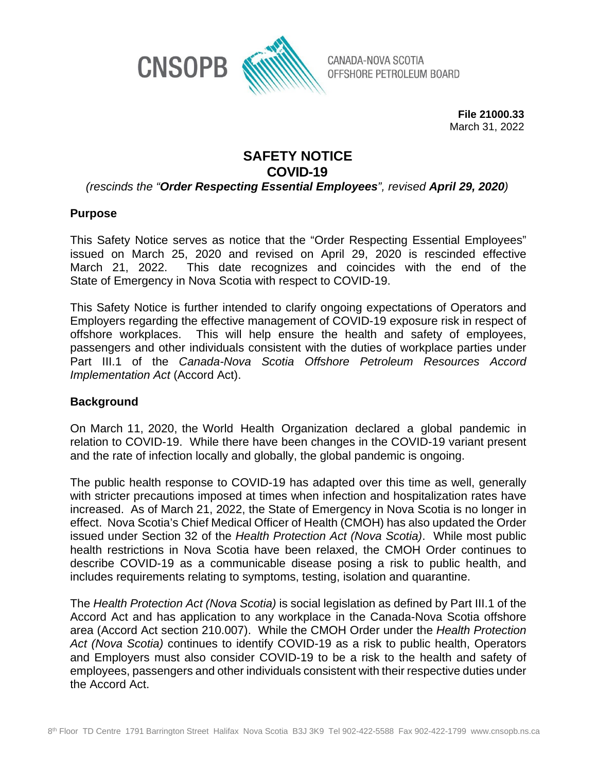

CANADA-NOVA SCOTIA OFFSHORE PETROLEUM BOARD

> **File 21000.33** March 31, 2022

## **SAFETY NOTICE COVID-19**

*(rescinds the "Order Respecting Essential Employees", revised April 29, 2020)*

## **Purpose**

This Safety Notice serves as notice that the "Order Respecting Essential Employees" issued on March 25, 2020 and revised on April 29, 2020 is rescinded effective March 21, 2022. This date recognizes and coincides with the end of the State of Emergency in Nova Scotia with respect to COVID-19.

This Safety Notice is further intended to clarify ongoing expectations of Operators and Employers regarding the effective management of COVID-19 exposure risk in respect of offshore workplaces. This will help ensure the health and safety of employees, passengers and other individuals consistent with the duties of workplace parties under Part III.1 of the *Canada-Nova Scotia Offshore Petroleum Resources Accord Implementation Act* (Accord Act).

## **Background**

On March 11, 2020, the World Health Organization declared a global pandemic in relation to COVID-19. While there have been changes in the COVID-19 variant present and the rate of infection locally and globally, the global pandemic is ongoing.

The public health response to COVID-19 has adapted over this time as well, generally with stricter precautions imposed at times when infection and hospitalization rates have increased. As of March 21, 2022, the State of Emergency in Nova Scotia is no longer in effect. Nova Scotia's Chief Medical Officer of Health (CMOH) has also updated the Order issued under Section 32 of the *Health Protection Act (Nova Scotia)*. While most public health restrictions in Nova Scotia have been relaxed, the CMOH Order continues to describe COVID-19 as a communicable disease posing a risk to public health, and includes requirements relating to symptoms, testing, isolation and quarantine.

The *Health Protection Act (Nova Scotia)* is social legislation as defined by Part III.1 of the Accord Act and has application to any workplace in the Canada-Nova Scotia offshore area (Accord Act section 210.007). While the CMOH Order under the *Health Protection Act (Nova Scotia)* continues to identify COVID-19 as a risk to public health, Operators and Employers must also consider COVID-19 to be a risk to the health and safety of employees, passengers and other individuals consistent with their respective duties under the Accord Act.